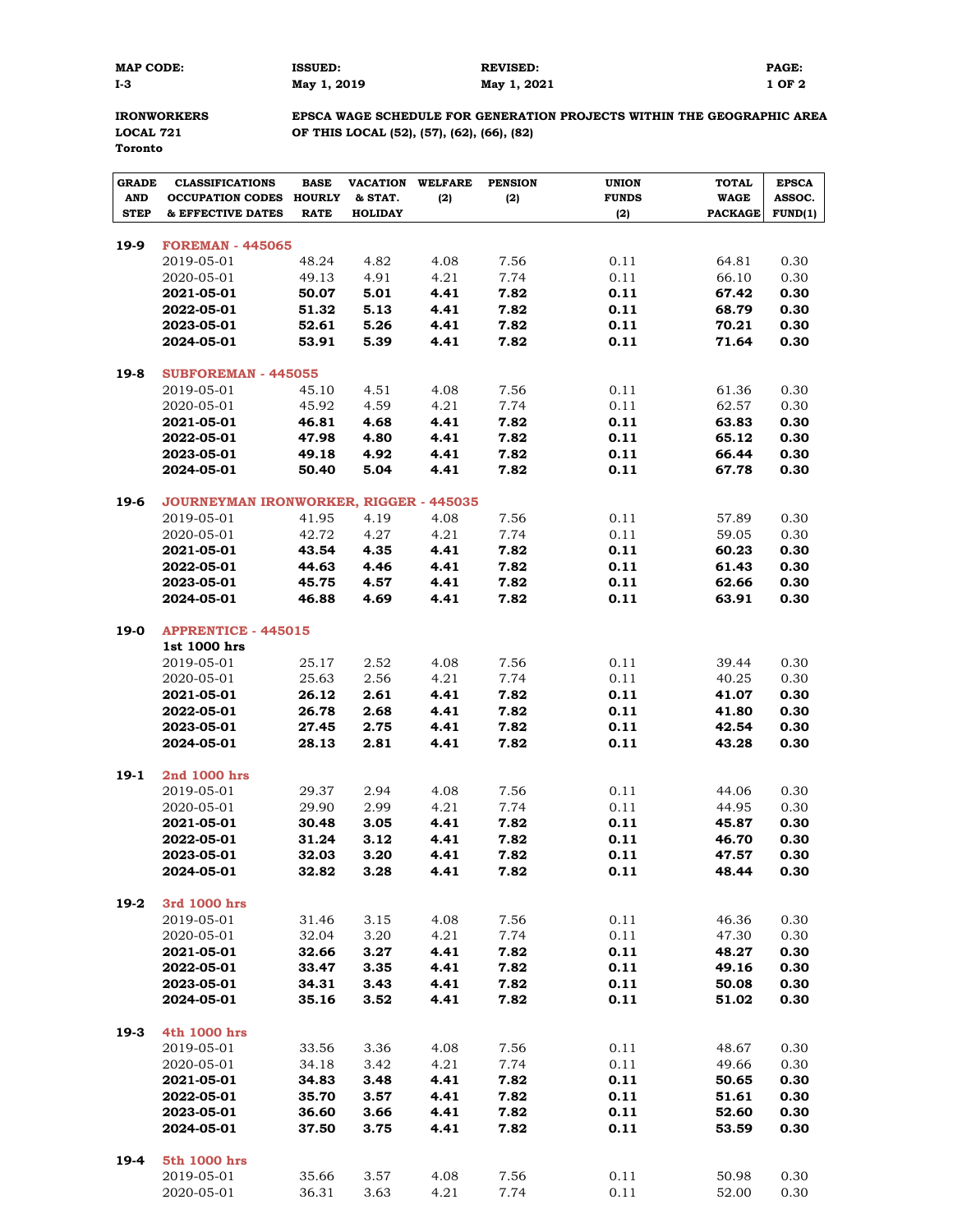| <b>MAP COD</b> |  |
|----------------|--|
| 1-3            |  |

**MAP CODE: ISSUED: REVISED: PAGE: I-3 May 1, 2019 May 1, 2021 1 OF 2**

**Toronto**

**IRONWORKERS EPSCA WAGE SCHEDULE FOR GENERATION PROJECTS WITHIN THE GEOGRAPHIC AREA LOCAL 721 OF THIS LOCAL (52), (57), (62), (66), (82)**

| <b>GRADE</b><br><b>AND</b> | <b>CLASSIFICATIONS</b><br><b>OCCUPATION CODES</b> | <b>BASE</b><br><b>HOURLY</b> | VACATION<br>& STAT. | <b>WELFARE</b><br>(2) | <b>PENSION</b><br>(2) | <b>UNION</b><br><b>FUNDS</b> | <b>TOTAL</b><br><b>WAGE</b> | <b>EPSCA</b><br>ASSOC. |
|----------------------------|---------------------------------------------------|------------------------------|---------------------|-----------------------|-----------------------|------------------------------|-----------------------------|------------------------|
| <b>STEP</b>                | & EFFECTIVE DATES                                 | <b>RATE</b>                  | <b>HOLIDAY</b>      |                       |                       | (2)                          | <b>PACKAGE</b>              | FUND(1)                |
|                            |                                                   |                              |                     |                       |                       |                              |                             |                        |
| 19-9                       | <b>FOREMAN - 445065</b><br>2019-05-01             | 48.24                        | 4.82                | 4.08                  | 7.56                  | 0.11                         |                             | 0.30                   |
|                            | 2020-05-01                                        | 49.13                        | 4.91                | 4.21                  | 7.74                  | 0.11                         | 64.81<br>66.10              | 0.30                   |
|                            | 2021-05-01                                        | 50.07                        | 5.01                | 4.41                  | 7.82                  | 0.11                         | 67.42                       | 0.30                   |
|                            | 2022-05-01                                        | 51.32                        | 5.13                | 4.41                  | 7.82                  | 0.11                         | 68.79                       | 0.30                   |
|                            | 2023-05-01                                        | 52.61                        | 5.26                | 4.41                  | 7.82                  | 0.11                         | 70.21                       | 0.30                   |
|                            | 2024-05-01                                        | 53.91                        | 5.39                | 4.41                  | 7.82                  | 0.11                         | 71.64                       | 0.30                   |
|                            |                                                   |                              |                     |                       |                       |                              |                             |                        |
| $19-8$                     | <b>SUBFOREMAN - 445055</b>                        |                              |                     |                       |                       |                              |                             |                        |
|                            | 2019-05-01                                        | 45.10                        | 4.51                | 4.08                  | 7.56                  | 0.11                         | 61.36                       | 0.30                   |
|                            | 2020-05-01<br>2021-05-01                          | 45.92<br>46.81               | 4.59<br>4.68        | 4.21<br>4.41          | 7.74<br>7.82          | 0.11<br>0.11                 | 62.57<br>63.83              | 0.30<br>0.30           |
|                            | 2022-05-01                                        | 47.98                        | 4.80                | 4.41                  | 7.82                  | 0.11                         | 65.12                       | 0.30                   |
|                            | 2023-05-01                                        | 49.18                        | 4.92                | 4.41                  | 7.82                  | 0.11                         | 66.44                       | 0.30                   |
|                            | 2024-05-01                                        | 50.40                        | 5.04                | 4.41                  | 7.82                  | 0.11                         | 67.78                       | 0.30                   |
|                            |                                                   |                              |                     |                       |                       |                              |                             |                        |
| $19-6$                     | <b>JOURNEYMAN IRONWORKER, RIGGER - 445035</b>     |                              |                     |                       |                       |                              |                             |                        |
|                            | 2019-05-01                                        | 41.95                        | 4.19                | 4.08                  | 7.56                  | 0.11                         | 57.89                       | 0.30                   |
|                            | 2020-05-01<br>2021-05-01                          | 42.72<br>43.54               | 4.27<br>4.35        | 4.21<br>4.41          | 7.74<br>7.82          | 0.11<br>0.11                 | 59.05                       | 0.30<br>0.30           |
|                            | 2022-05-01                                        | 44.63                        | 4.46                | 4.41                  | 7.82                  | 0.11                         | 60.23<br>61.43              | 0.30                   |
|                            | 2023-05-01                                        | 45.75                        | 4.57                | 4.41                  | 7.82                  | 0.11                         | 62.66                       | 0.30                   |
|                            | 2024-05-01                                        | 46.88                        | 4.69                | 4.41                  | 7.82                  | 0.11                         | 63.91                       | 0.30                   |
|                            |                                                   |                              |                     |                       |                       |                              |                             |                        |
| $19-0$                     | <b>APPRENTICE - 445015</b>                        |                              |                     |                       |                       |                              |                             |                        |
|                            | 1st 1000 hrs                                      |                              |                     |                       |                       |                              |                             |                        |
|                            | 2019-05-01                                        | 25.17                        | 2.52                | 4.08                  | 7.56                  | 0.11                         | 39.44                       | 0.30                   |
|                            | 2020-05-01<br>2021-05-01                          | 25.63<br>26.12               | 2.56<br>2.61        | 4.21<br>4.41          | 7.74<br>7.82          | 0.11<br>0.11                 | 40.25<br>41.07              | 0.30<br>0.30           |
|                            | 2022-05-01                                        | 26.78                        | 2.68                | 4.41                  | 7.82                  | 0.11                         | 41.80                       | 0.30                   |
|                            | 2023-05-01                                        | 27.45                        | 2.75                | 4.41                  | 7.82                  | 0.11                         | 42.54                       | 0.30                   |
|                            | 2024-05-01                                        | 28.13                        | 2.81                | 4.41                  | 7.82                  | 0.11                         | 43.28                       | 0.30                   |
|                            |                                                   |                              |                     |                       |                       |                              |                             |                        |
| $19-1$                     | 2nd 1000 hrs                                      |                              |                     |                       |                       |                              |                             |                        |
|                            | 2019-05-01                                        | 29.37                        | 2.94                | 4.08                  | 7.56                  | 0.11                         | 44.06                       | 0.30                   |
|                            | 2020-05-01                                        | 29.90<br>30.48               | 2.99<br>3.05        | 4.21<br>4.41          | 7.74<br>7.82          | 0.11<br>0.11                 | 44.95                       | 0.30<br>0.30           |
|                            | 2021-05-01<br>2022-05-01                          | 31.24                        | 3.12                | 4.41                  | 7.82                  | 0.11                         | 45.87<br>46.70              | 0.30                   |
|                            | 2023-05-01                                        | 32.03                        | 3.20                | 4.41                  | 7.82                  | 0.11                         | 47.57                       | 0.30                   |
|                            | 2024-05-01                                        | 32.82                        | 3.28                | 4.41                  | 7.82                  | 0.11                         | 48.44                       | 0.30                   |
|                            |                                                   |                              |                     |                       |                       |                              |                             |                        |
| 19-2                       | 3rd 1000 hrs                                      |                              |                     |                       |                       |                              |                             |                        |
|                            | 2019-05-01                                        | 31.46                        | 3.15                | 4.08                  | 7.56                  | 0.11                         | 46.36                       | 0.30                   |
|                            | 2020-05-01<br>2021-05-01                          | 32.04<br>32.66               | 3.20<br>3.27        | 4.21<br>4.41          | 7.74<br>7.82          | 0.11<br>0.11                 | 47.30<br>48.27              | 0.30<br>0.30           |
|                            | 2022-05-01                                        | 33.47                        | 3.35                | 4.41                  | 7.82                  | 0.11                         | 49.16                       | 0.30                   |
|                            | 2023-05-01                                        | 34.31                        | 3.43                | 4.41                  | 7.82                  | 0.11                         | 50.08                       | 0.30                   |
|                            | 2024-05-01                                        | 35.16                        | 3.52                | 4.41                  | 7.82                  | 0.11                         | 51.02                       | 0.30                   |
|                            |                                                   |                              |                     |                       |                       |                              |                             |                        |
| $19-3$                     | 4th 1000 hrs                                      |                              |                     |                       |                       |                              |                             |                        |
|                            | 2019-05-01                                        | 33.56                        | 3.36                | 4.08                  | 7.56                  | 0.11                         | 48.67                       | 0.30                   |
|                            | 2020-05-01                                        | 34.18                        | 3.42                | 4.21                  | 7.74                  | 0.11                         | 49.66                       | 0.30                   |
|                            | 2021-05-01                                        | 34.83                        | 3.48                | 4.41                  | 7.82                  | 0.11                         | 50.65                       | 0.30                   |
|                            | 2022-05-01<br>2023-05-01                          | 35.70<br>36.60               | 3.57<br>3.66        | 4.41<br>4.41          | 7.82<br>7.82          | 0.11<br>0.11                 | 51.61<br>52.60              | 0.30<br>0.30           |
|                            | 2024-05-01                                        | 37.50                        | 3.75                | 4.41                  | 7.82                  | 0.11                         | 53.59                       | 0.30                   |
|                            |                                                   |                              |                     |                       |                       |                              |                             |                        |
| 19-4                       | 5th 1000 hrs                                      |                              |                     |                       |                       |                              |                             |                        |
|                            | 2019-05-01                                        | 35.66                        | 3.57                | 4.08                  | 7.56                  | 0.11                         | 50.98                       | 0.30                   |
|                            | 2020-05-01                                        | 36.31                        | 3.63                | 4.21                  | 7.74                  | 0.11                         | 52.00                       | 0.30                   |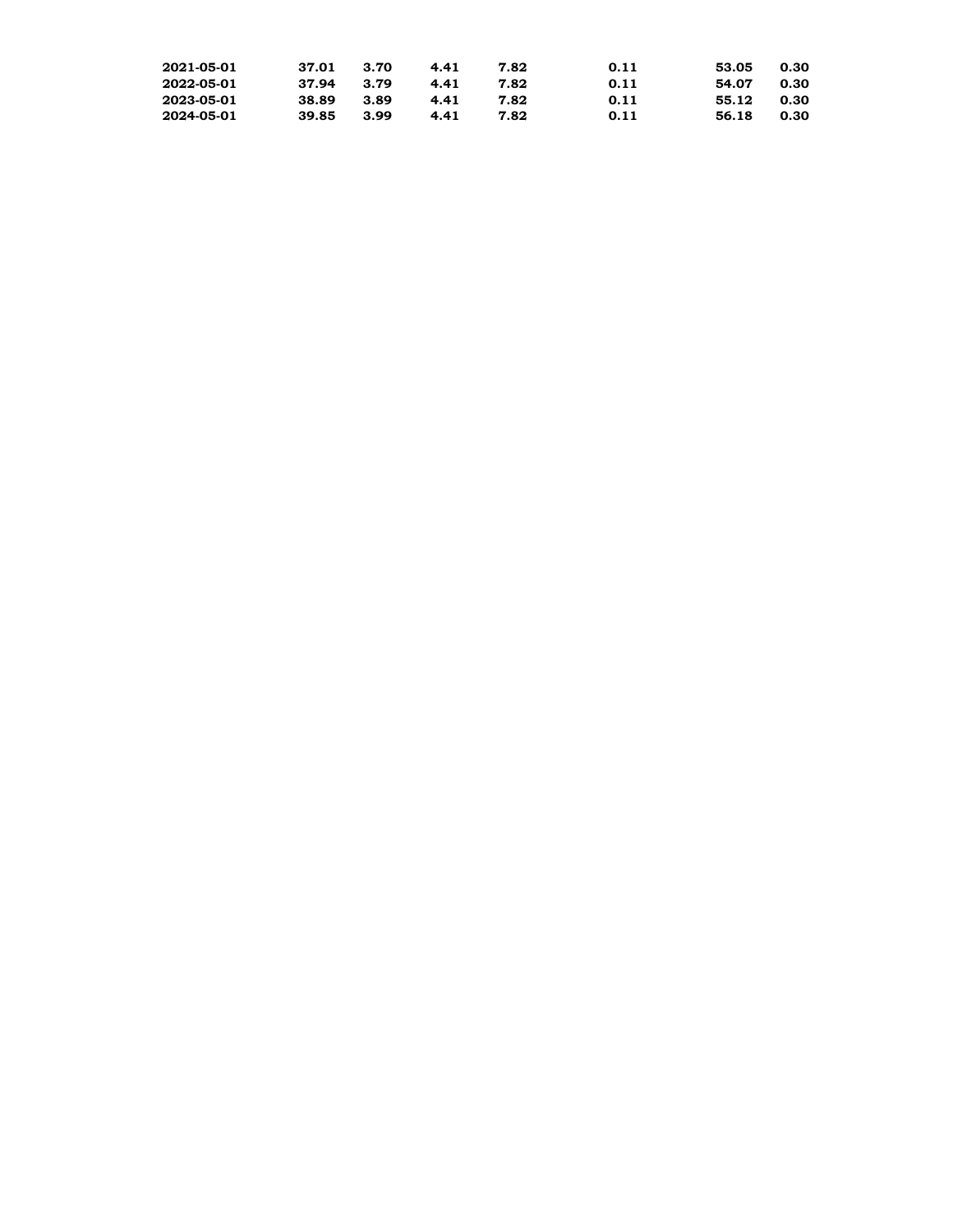| 2021-05-01 | 37.01 | 3.70 | 4.41 | 7.82 | 0.11 | 53.05 | 0.30 |
|------------|-------|------|------|------|------|-------|------|
| 2022-05-01 | 37.94 | 3.79 | 4.41 | 7.82 | 0.11 | 54.07 | 0.30 |
| 2023-05-01 | 38.89 | 3.89 | 4.41 | 7.82 | 0.11 | 55.12 | 0.30 |
| 2024-05-01 | 39.85 | 3.99 | 4.41 | 7.82 | 0.11 | 56.18 | 0.30 |